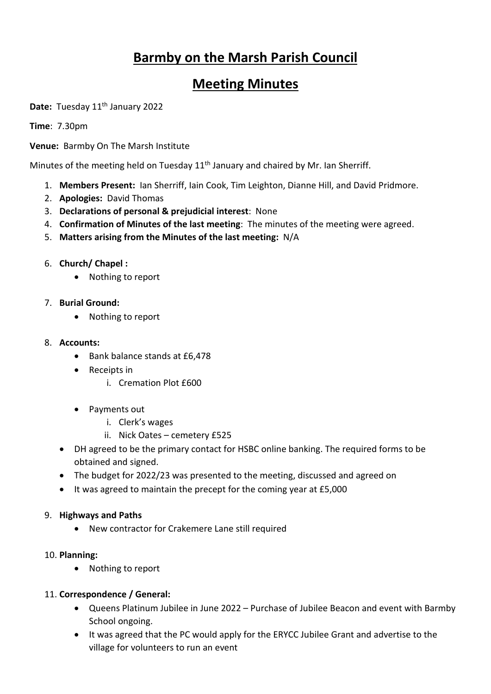# **Barmby on the Marsh Parish Council**

# **Meeting Minutes**

Date: Tuesday 11<sup>th</sup> January 2022

**Time**: 7.30pm

**Venue:** Barmby On The Marsh Institute

Minutes of the meeting held on Tuesday  $11<sup>th</sup>$  January and chaired by Mr. Ian Sherriff.

- 1. **Members Present:** Ian Sherriff, Iain Cook, Tim Leighton, Dianne Hill, and David Pridmore.
- 2. **Apologies:** David Thomas
- 3. **Declarations of personal & prejudicial interest**: None
- 4. **Confirmation of Minutes of the last meeting**: The minutes of the meeting were agreed.
- 5. **Matters arising from the Minutes of the last meeting:** N/A
- 6. **Church/ Chapel :**
	- Nothing to report
- 7. **Burial Ground:** 
	- Nothing to report
- 8. **Accounts:** 
	- Bank balance stands at £6,478
	- Receipts in
		- i. Cremation Plot £600
	- Payments out
		- i. Clerk's wages
		- ii. Nick Oates cemetery £525
	- DH agreed to be the primary contact for HSBC online banking. The required forms to be obtained and signed.
	- The budget for 2022/23 was presented to the meeting, discussed and agreed on
	- It was agreed to maintain the precept for the coming year at £5,000

#### 9. **Highways and Paths**

• New contractor for Crakemere Lane still required

#### 10. **Planning:**

• Nothing to report

#### 11. **Correspondence / General:**

- Queens Platinum Jubilee in June 2022 Purchase of Jubilee Beacon and event with Barmby School ongoing.
- It was agreed that the PC would apply for the ERYCC Jubilee Grant and advertise to the village for volunteers to run an event